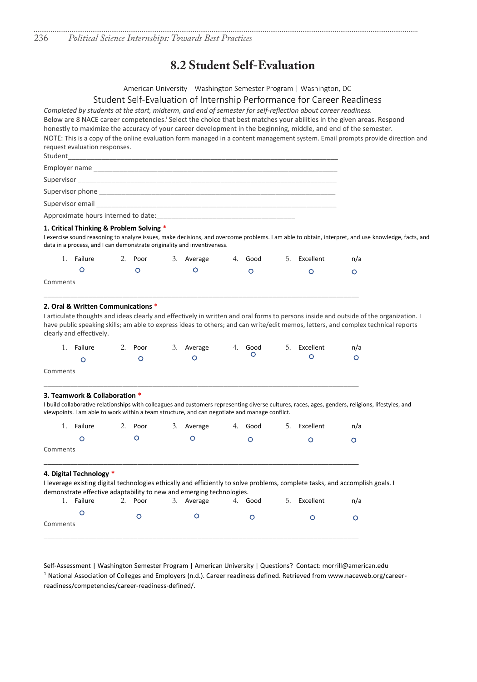# **8.2 Student Self-Evaluation**

American University | Washington Semester Program | Washington, DC

Student Self-Evaluation of Internship Performance for Career Readiness

*Completed by students at the start, midterm, and end of semester for self-reflection about career readiness.* Below are 8 NACE career competencies.<sup>1</sup> Select the choice that best matches your abilities in the given areas. Respond honestly to maximize the accuracy of your career development in the beginning, middle, and end of the semester. NOTE: This is a copy of the online evaluation form managed in a content management system. Email prompts provide direction and request evaluation responses.

| Student                                                                                                                                                                                                                        |  |
|--------------------------------------------------------------------------------------------------------------------------------------------------------------------------------------------------------------------------------|--|
| Employer name                                                                                                                                                                                                                  |  |
| Supervisor New York Supervisor                                                                                                                                                                                                 |  |
| Supervisor phone states and the state of the state of the state of the state of the state of the state of the state of the state of the state of the state of the state of the state of the state of the state of the state of |  |
| Supervisor email and the state of the state of the state of the state of the state of the state of the state of the state of the state of the state of the state of the state of the state of the state of the state of the st |  |
| Approximate hours interned to date:                                                                                                                                                                                            |  |

# **1. Critical Thinking & Problem Solving \***

I exercise sound reasoning to analyze issues, make decisions, and overcome problems. I am able to obtain, interpret, and use knowledge, facts, and data in a process, and I can demonstrate originality and inventiveness.

| 1.       | Failure | 2. Poor | 3. Average | 4. Good | 5. Excellent | n/a |
|----------|---------|---------|------------|---------|--------------|-----|
|          |         |         |            |         |              |     |
| Comments |         |         |            |         |              |     |
|          |         |         |            |         |              |     |

# **2. Oral & Written Communications \***

I articulate thoughts and ideas clearly and effectively in written and oral forms to persons inside and outside of the organization. I have public speaking skills; am able to express ideas to others; and can write/edit memos, letters, and complex technical reports clearly and effectively.

| 1. Failure | 2. Poor | 3. Average | $-$ 4. Good $\qquad \qquad$ | 5. Excellent | n/a      |
|------------|---------|------------|-----------------------------|--------------|----------|
|            |         |            |                             |              | $\Omega$ |

\_\_\_\_\_\_\_\_\_\_\_\_\_\_\_\_\_\_\_\_\_\_\_\_\_\_\_\_\_\_\_\_\_\_\_\_\_\_\_\_\_\_\_\_\_\_\_\_\_\_\_\_\_\_\_\_\_\_\_\_\_\_\_\_\_\_\_\_\_\_\_\_\_\_\_\_\_\_\_\_\_\_\_\_

Comments

## **3. Teamwork & Collaboration \***

I build collaborative relationships with colleagues and customers representing diverse cultures, races, ages, genders, religions, lifestyles, and viewpoints. I am able to work within a team structure, and can negotiate and manage conflict.

| Failure<br>1. | 2. Poor | 3. Average | 4. Good | 5. Excellent | n/a |
|---------------|---------|------------|---------|--------------|-----|
|               |         |            |         |              |     |
| Comments      |         |            |         |              |     |
|               |         |            |         |              |     |

#### **4. Digital Technology \***

I leverage existing digital technologies ethically and efficiently to solve problems, complete tasks, and accomplish goals. I demonstrate effective adaptability to new and emerging technologies. 1. Failure 2. Poor 3. Average 4. Good 5. Excellent n/a

| --------- | _______ | . | ____________ | $\cdot$ , $\cdot$ |
|-----------|---------|---|--------------|-------------------|
|           |         |   |              |                   |
| Comments  |         |   |              |                   |
|           |         |   |              |                   |

Self-Assessment | Washington Semester Program | American University | Questions? Contact: morrill@american.edu  $1$  National Association of Colleges and Employers (n.d.). Career readiness defined. Retrieved from www.naceweb.org/careerreadiness/competencies/career-readiness-defined/.